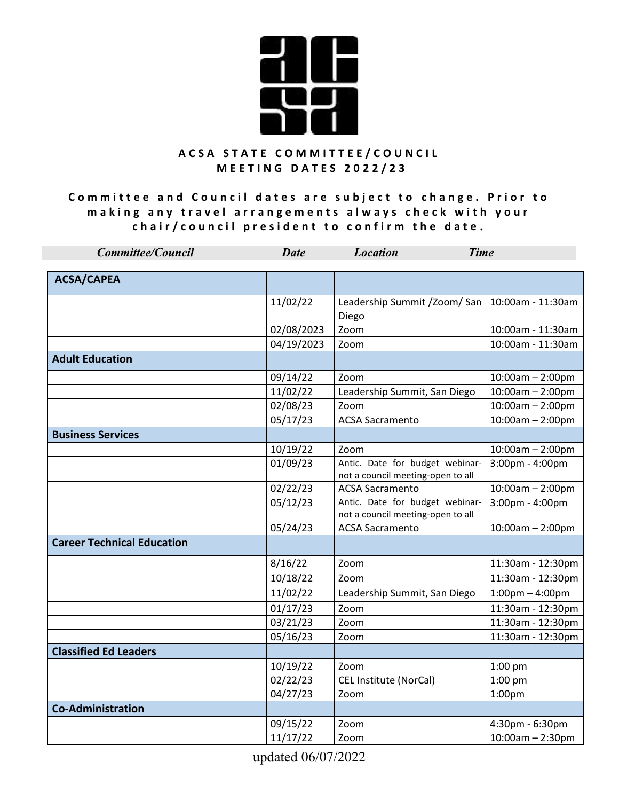

**Committee and Council dates are subject to change. Prior to** making any travel arrangements always check with your chair/council president to confirm the date.

| <b>Committee/Council</b>          | <b>Date</b> | <b>Location</b><br><b>Time</b>                                       |                                   |
|-----------------------------------|-------------|----------------------------------------------------------------------|-----------------------------------|
| <b>ACSA/CAPEA</b>                 |             |                                                                      |                                   |
|                                   | 11/02/22    | Leadership Summit / Zoom/ San<br>Diego                               | 10:00am - 11:30am                 |
|                                   | 02/08/2023  | Zoom                                                                 | 10:00am - 11:30am                 |
|                                   | 04/19/2023  | Zoom                                                                 | 10:00am - 11:30am                 |
| <b>Adult Education</b>            |             |                                                                      |                                   |
|                                   | 09/14/22    | Zoom                                                                 | $10:00$ am $- 2:00$ pm            |
|                                   | 11/02/22    | Leadership Summit, San Diego                                         | $10:00am - 2:00pm$                |
|                                   | 02/08/23    | Zoom                                                                 | $10:00am - 2:00pm$                |
|                                   | 05/17/23    | <b>ACSA Sacramento</b>                                               | $10:00am - 2:00pm$                |
| <b>Business Services</b>          |             |                                                                      |                                   |
|                                   | 10/19/22    | Zoom                                                                 | $10:00am - 2:00pm$                |
|                                   | 01/09/23    | Antic. Date for budget webinar-<br>not a council meeting-open to all | 3:00pm - 4:00pm                   |
|                                   | 02/22/23    | <b>ACSA Sacramento</b>                                               | $10:00am - 2:00pm$                |
|                                   | 05/12/23    | Antic. Date for budget webinar-<br>not a council meeting-open to all | 3:00pm - 4:00pm                   |
|                                   | 05/24/23    | <b>ACSA Sacramento</b>                                               | $10:00am - 2:00pm$                |
| <b>Career Technical Education</b> |             |                                                                      |                                   |
|                                   | 8/16/22     | Zoom                                                                 | 11:30am - 12:30pm                 |
|                                   | 10/18/22    | Zoom                                                                 | 11:30am - 12:30pm                 |
|                                   | 11/02/22    | Leadership Summit, San Diego                                         | $1:00 \text{pm} - 4:00 \text{pm}$ |
|                                   | 01/17/23    | Zoom                                                                 | 11:30am - 12:30pm                 |
|                                   | 03/21/23    | Zoom                                                                 | 11:30am - 12:30pm                 |
|                                   | 05/16/23    | Zoom                                                                 | 11:30am - 12:30pm                 |
| <b>Classified Ed Leaders</b>      |             |                                                                      |                                   |
|                                   | 10/19/22    | Zoom                                                                 | 1:00 pm                           |
|                                   | 02/22/23    | CEL Institute (NorCal)                                               | $1:00$ pm                         |
|                                   | 04/27/23    | Zoom                                                                 | 1:00 <sub>pm</sub>                |
| <b>Co-Administration</b>          |             |                                                                      |                                   |
|                                   | 09/15/22    | Zoom                                                                 | 4:30pm - 6:30pm                   |
|                                   | 11/17/22    | Zoom                                                                 | $10:00am - 2:30pm$                |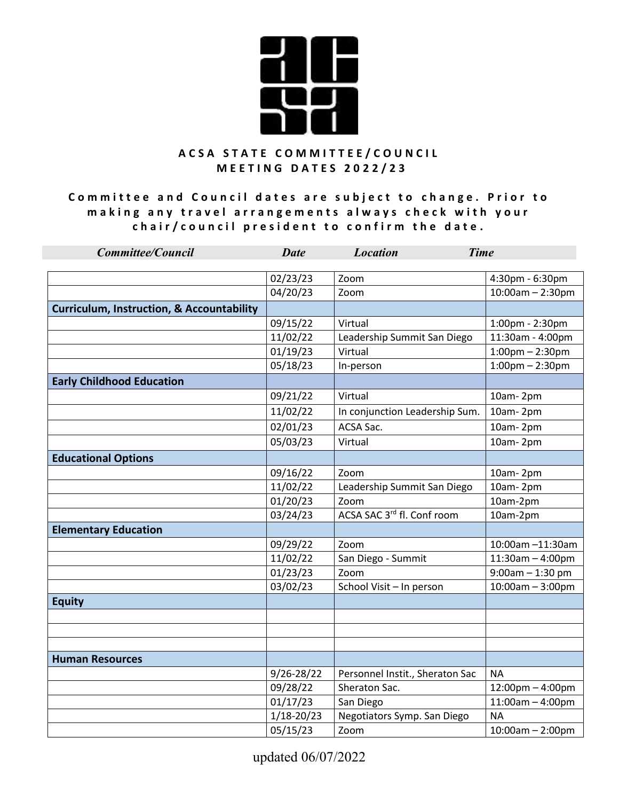

**Committee and Council dates are subject to change. Prior to** making any travel arrangements always check with your chair/council president to confirm the date.

| <b>Committee/Council</b>                             | <b>Date</b>    | <b>Location</b><br><b>Time</b>         |                                    |
|------------------------------------------------------|----------------|----------------------------------------|------------------------------------|
|                                                      |                |                                        |                                    |
|                                                      | 02/23/23       | Zoom                                   | 4:30pm - 6:30pm                    |
|                                                      | 04/20/23       | Zoom                                   | $10:00$ am - 2:30pm                |
| <b>Curriculum, Instruction, &amp; Accountability</b> |                |                                        |                                    |
|                                                      | 09/15/22       | Virtual                                | 1:00pm - 2:30pm                    |
|                                                      | 11/02/22       | Leadership Summit San Diego            | 11:30am - 4:00pm                   |
|                                                      | 01/19/23       | Virtual                                | $1:00$ pm $- 2:30$ pm              |
|                                                      | 05/18/23       | In-person                              | $1:00$ pm $- 2:30$ pm              |
| <b>Early Childhood Education</b>                     |                |                                        |                                    |
|                                                      | 09/21/22       | Virtual                                | 10am-2pm                           |
|                                                      | 11/02/22       | In conjunction Leadership Sum.         | 10am-2pm                           |
|                                                      | 02/01/23       | ACSA Sac.                              | 10am-2pm                           |
|                                                      | 05/03/23       | Virtual                                | 10am-2pm                           |
| <b>Educational Options</b>                           |                |                                        |                                    |
|                                                      | 09/16/22       | Zoom                                   | 10am-2pm                           |
|                                                      | 11/02/22       | Leadership Summit San Diego            | 10am-2pm                           |
|                                                      | 01/20/23       | Zoom                                   | 10am-2pm                           |
|                                                      | 03/24/23       | ACSA SAC 3 <sup>rd</sup> fl. Conf room | 10am-2pm                           |
| <b>Elementary Education</b>                          |                |                                        |                                    |
|                                                      | 09/29/22       | Zoom                                   | 10:00am -11:30am                   |
|                                                      | 11/02/22       | San Diego - Summit                     | $11:30am - 4:00pm$                 |
|                                                      | 01/23/23       | Zoom                                   | $9:00$ am - 1:30 pm                |
|                                                      | 03/02/23       | School Visit - In person               | $10:00am - 3:00pm$                 |
| <b>Equity</b>                                        |                |                                        |                                    |
|                                                      |                |                                        |                                    |
|                                                      |                |                                        |                                    |
|                                                      |                |                                        |                                    |
| <b>Human Resources</b>                               |                |                                        |                                    |
|                                                      | 9/26-28/22     | Personnel Instit., Sheraton Sac        | NА                                 |
|                                                      | 09/28/22       | Sheraton Sac.                          | $12:00 \text{pm} - 4:00 \text{pm}$ |
|                                                      | 01/17/23       | San Diego                              | $11:00am - 4:00pm$                 |
|                                                      | $1/18 - 20/23$ | Negotiators Symp. San Diego            | <b>NA</b>                          |
|                                                      | 05/15/23       | Zoom                                   | $10:00$ am - 2:00pm                |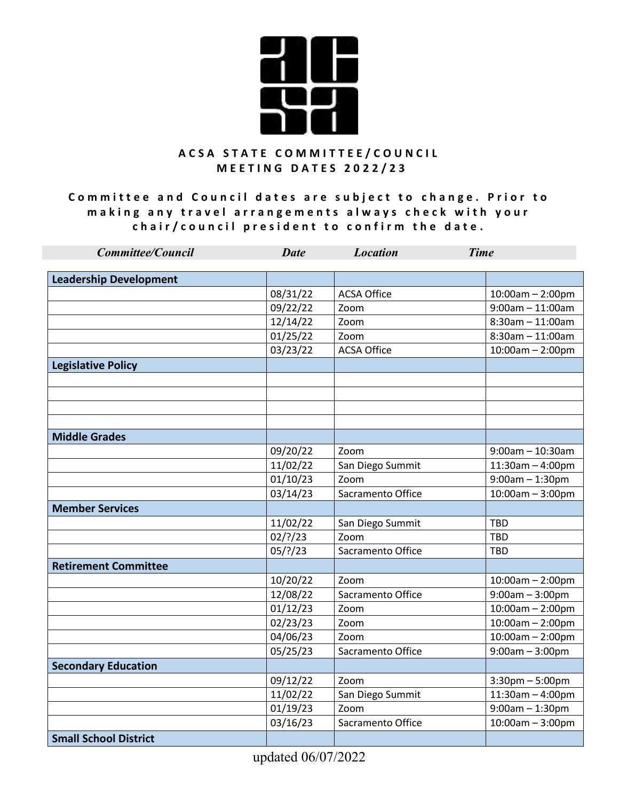

**Committee and Council dates are subject to change. Prior to** making any travel arrangements always check with your chair/council president to confirm the date.

| <b>Committee/Council</b>      | <b>Date</b> | <b>Location</b><br><b>Time</b> |                       |
|-------------------------------|-------------|--------------------------------|-----------------------|
|                               |             |                                |                       |
| <b>Leadership Development</b> |             |                                |                       |
|                               | 08/31/22    | <b>ACSA Office</b>             | $10:00am - 2:00pm$    |
|                               | 09/22/22    | Zoom                           | $9:00am - 11:00am$    |
|                               | 12/14/22    | Zoom                           | $8:30$ am - 11:00am   |
|                               | 01/25/22    | Zoom                           | $8:30$ am - 11:00am   |
|                               | 03/23/22    | <b>ACSA Office</b>             | $10:00am - 2:00pm$    |
| <b>Legislative Policy</b>     |             |                                |                       |
|                               |             |                                |                       |
|                               |             |                                |                       |
|                               |             |                                |                       |
|                               |             |                                |                       |
| <b>Middle Grades</b>          |             |                                |                       |
|                               | 09/20/22    | Zoom                           | $9:00$ am - 10:30am   |
|                               | 11/02/22    | San Diego Summit               | $11:30$ am $-4:00$ pm |
|                               | 01/10/23    | Zoom                           | $9:00$ am $-1:30$ pm  |
|                               | 03/14/23    | Sacramento Office              | $10:00am - 3:00pm$    |
| <b>Member Services</b>        |             |                                |                       |
|                               | 11/02/22    | San Diego Summit               | <b>TBD</b>            |
|                               | $02$ /?/23  | Zoom                           | <b>TBD</b>            |
|                               | $05/$ ?/23  | Sacramento Office              | <b>TBD</b>            |
| <b>Retirement Committee</b>   |             |                                |                       |
|                               | 10/20/22    | Zoom                           | $10:00am - 2:00pm$    |
|                               | 12/08/22    | Sacramento Office              | $9:00am - 3:00pm$     |
|                               | 01/12/23    | Zoom                           | $10:00am - 2:00pm$    |
|                               | 02/23/23    | Zoom                           | $10:00$ am - 2:00pm   |
|                               | 04/06/23    | Zoom                           | $10:00$ am - 2:00pm   |
|                               | 05/25/23    | Sacramento Office              | $9:00am - 3:00pm$     |
| <b>Secondary Education</b>    |             |                                |                       |
|                               | 09/12/22    | Zoom                           | $3:30$ pm $-5:00$ pm  |
|                               | 11/02/22    | San Diego Summit               | $11:30am - 4:00pm$    |
|                               | 01/19/23    | Zoom                           | $9:00$ am $-1:30$ pm  |
|                               | 03/16/23    | Sacramento Office              | $10:00am - 3:00pm$    |
| <b>Small School District</b>  |             |                                |                       |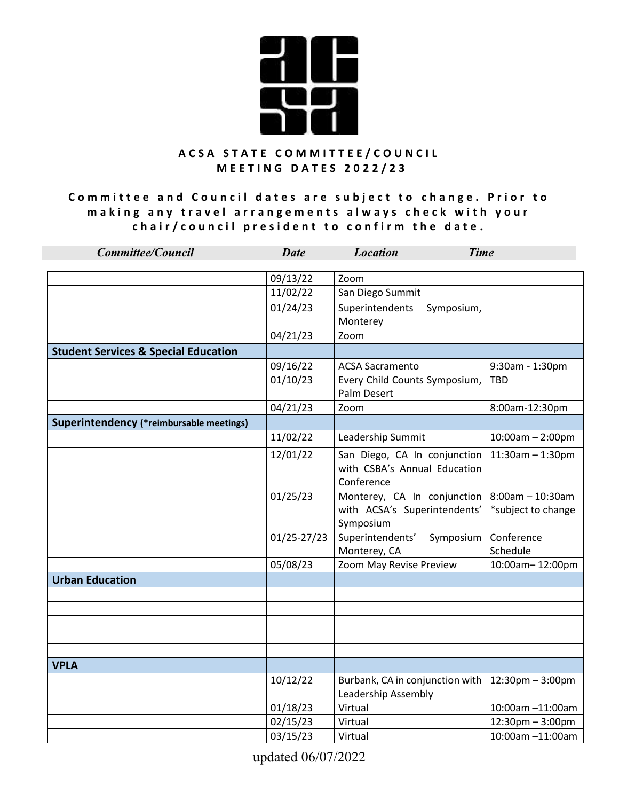

**Committee and Council dates are subject to change. Prior to** making any travel arrangements always check with your chair/council president to confirm the date.

| <b>Committee/Council</b>                        | <b>Date</b> | <b>Time</b><br><b>Location</b>                                             |                                           |
|-------------------------------------------------|-------------|----------------------------------------------------------------------------|-------------------------------------------|
|                                                 | 09/13/22    | Zoom                                                                       |                                           |
|                                                 | 11/02/22    | San Diego Summit                                                           |                                           |
|                                                 | 01/24/23    | Superintendents<br>Symposium,<br>Monterey                                  |                                           |
|                                                 | 04/21/23    | Zoom                                                                       |                                           |
| <b>Student Services &amp; Special Education</b> |             |                                                                            |                                           |
|                                                 | 09/16/22    | <b>ACSA Sacramento</b>                                                     | 9:30am - 1:30pm                           |
|                                                 | 01/10/23    | Every Child Counts Symposium,<br><b>Palm Desert</b>                        | TBD                                       |
|                                                 | 04/21/23    | Zoom                                                                       | 8:00am-12:30pm                            |
| Superintendency (*reimbursable meetings)        |             |                                                                            |                                           |
|                                                 | 11/02/22    | Leadership Summit                                                          | $10:00am - 2:00pm$                        |
|                                                 | 12/01/22    | San Diego, CA In conjunction<br>with CSBA's Annual Education<br>Conference | $11:30$ am - 1:30pm                       |
|                                                 | 01/25/23    | Monterey, CA In conjunction<br>with ACSA's Superintendents'<br>Symposium   | $8:00$ am - 10:30am<br>*subject to change |
|                                                 | 01/25-27/23 | Superintendents'<br>Symposium<br>Monterey, CA                              | Conference<br>Schedule                    |
|                                                 | 05/08/23    | Zoom May Revise Preview                                                    | 10:00am-12:00pm                           |
| <b>Urban Education</b>                          |             |                                                                            |                                           |
|                                                 |             |                                                                            |                                           |
|                                                 |             |                                                                            |                                           |
|                                                 |             |                                                                            |                                           |
|                                                 |             |                                                                            |                                           |
| <b>VPLA</b>                                     |             |                                                                            |                                           |
|                                                 | 10/12/22    | Burbank, CA in conjunction with<br>Leadership Assembly                     | $12:30$ pm $-3:00$ pm                     |
|                                                 | 01/18/23    | Virtual                                                                    | 10:00am -11:00am                          |
|                                                 | 02/15/23    | Virtual                                                                    | 12:30pm - 3:00pm                          |
|                                                 | 03/15/23    | Virtual                                                                    | 10:00am -11:00am                          |